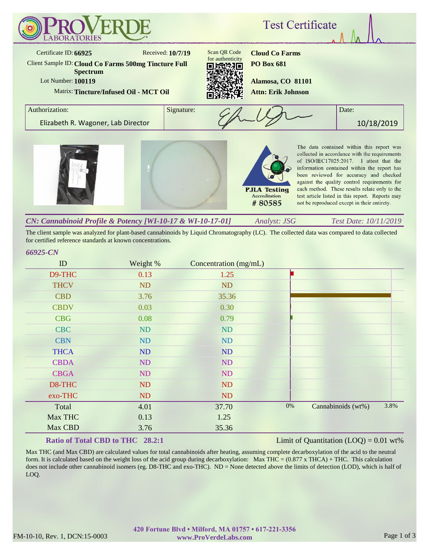

The client sample was analyzed for plant-based cannabinoids by Liquid Chromatography (LC). The collected data was compared to data collected for certified reference standards at known concentrations.

#### *66925-CN*

| ID          | Weight % | Concentration (mg/mL) |       |                    |      |
|-------------|----------|-----------------------|-------|--------------------|------|
| D9-THC      | 0.13     | 1.25                  |       |                    |      |
| <b>THCV</b> | ND       | <b>ND</b>             |       |                    |      |
| <b>CBD</b>  | 3.76     | 35.36                 |       |                    |      |
| <b>CBDV</b> | 0.03     | 0.30                  |       |                    |      |
| <b>CBG</b>  | 0.08     | 0.79                  |       |                    |      |
| <b>CBC</b>  | ND       | <b>ND</b>             |       |                    |      |
| <b>CBN</b>  | ND       | ND                    |       |                    |      |
| <b>THCA</b> | ND       | ND                    |       |                    |      |
| <b>CBDA</b> | ND       | ND                    |       |                    |      |
| <b>CBGA</b> | ND       | ND                    |       |                    |      |
| D8-THC      | ND       | ND                    |       |                    |      |
| exo-THC     | ND       | <b>ND</b>             |       |                    |      |
| Total       | 4.01     | 37.70                 | $0\%$ | Cannabinoids (wt%) | 3.8% |
| Max THC     | 0.13     | 1.25                  |       |                    |      |
| Max CBD     | 3.76     | 35.36                 |       |                    |      |

## **Ratio of Total CBD to THC 28.2:1**

### Limit of Quantitation  $(LOQ) = 0.01$  wt%

Max THC (and Max CBD) are calculated values for total cannabinoids after heating, assuming complete decarboxylation of the acid to the neutral form. It is calculated based on the weight loss of the acid group during decarboxylation: Max THC =  $(0.877 \times THCA) + THC$ . This calculation does not include other cannabinoid isomers (eg. D8-THC and exo-THC). ND = None detected above the limits of detection (LOD), which is half of LOQ.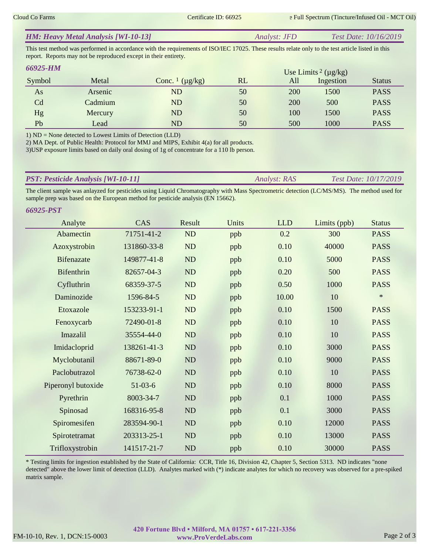| <b>HM: Heavy Metal Analysis [WI-10-13]</b> | <i>Analyst: JFD</i> | <i>Test Date: 10/16/2019</i> |
|--------------------------------------------|---------------------|------------------------------|
|                                            |                     |                              |

This test method was performed in accordance with the requirements of ISO/IEC 17025. These results relate only to the test article listed in this report. Reports may not be reproduced except in their entirety.

| 66925-HM |         | Use Limits <sup>2</sup> ( $\mu$ g/kg) |    |     |           |               |
|----------|---------|---------------------------------------|----|-----|-----------|---------------|
| Symbol   | Metal   | Conc. $\frac{1}{\mu}$ ( $\mu$ g/kg)   | RL | All | Ingestion | <b>Status</b> |
| As       | Arsenic | ND                                    | 50 | 200 | 1500      | <b>PASS</b>   |
| Cd       | Cadmium | ND                                    | 50 | 200 | 500       | <b>PASS</b>   |
| Hg       | Mercury | ND                                    | 50 | 100 | 1500      | <b>PASS</b>   |
| Pb       | Lead    | ND                                    | 50 | 500 | 1000      | <b>PASS</b>   |

1) ND = None detected to Lowest Limits of Detection (LLD)

2) MA Dept. of Public Health: Protocol for MMJ and MIPS, Exhibit 4(a) for all products.

3)USP exposure limits based on daily oral dosing of 1g of concentrate for a 110 lb person.

| <b>PST: Pesticide Analysis [WI-10-11]</b> | <i><b>Analyst: RAS</b></i> | <i>Test Date: 10/17/2019</i> |
|-------------------------------------------|----------------------------|------------------------------|
|                                           |                            |                              |

The client sample was anlayzed for pesticides using Liquid Chromatography with Mass Spectrometric detection (LC/MS/MS). The method used for sample prep was based on the European method for pesticide analysis (EN 15662).

| <b>66925-PST</b>   |             |           |       |            |              |               |
|--------------------|-------------|-----------|-------|------------|--------------|---------------|
| Analyte            | CAS         | Result    | Units | <b>LLD</b> | Limits (ppb) | <b>Status</b> |
| Abamectin          | 71751-41-2  | ND        | ppb   | 0.2        | 300          | <b>PASS</b>   |
| Azoxystrobin       | 131860-33-8 | ND        | ppb   | 0.10       | 40000        | <b>PASS</b>   |
| <b>Bifenazate</b>  | 149877-41-8 | ND        | ppb   | 0.10       | 5000         | <b>PASS</b>   |
| Bifenthrin         | 82657-04-3  | ND        | ppb   | 0.20       | 500          | <b>PASS</b>   |
| Cyfluthrin         | 68359-37-5  | ND        | ppb   | 0.50       | 1000         | <b>PASS</b>   |
| Daminozide         | 1596-84-5   | ND        | ppb   | 10.00      | 10           | $\ast$        |
| Etoxazole          | 153233-91-1 | ND        | ppb   | 0.10       | 1500         | <b>PASS</b>   |
| Fenoxycarb         | 72490-01-8  | ND        | ppb   | 0.10       | 10           | <b>PASS</b>   |
| Imazalil           | 35554-44-0  | <b>ND</b> | ppb   | 0.10       | 10           | <b>PASS</b>   |
| Imidacloprid       | 138261-41-3 | <b>ND</b> | ppb   | 0.10       | 3000         | <b>PASS</b>   |
| Myclobutanil       | 88671-89-0  | ND        | ppb   | 0.10       | 9000         | <b>PASS</b>   |
| Paclobutrazol      | 76738-62-0  | ND        | ppb   | 0.10       | 10           | <b>PASS</b>   |
| Piperonyl butoxide | $51-03-6$   | ND        | ppb   | 0.10       | 8000         | <b>PASS</b>   |
| Pyrethrin          | 8003-34-7   | ND        | ppb   | 0.1        | 1000         | <b>PASS</b>   |
| Spinosad           | 168316-95-8 | <b>ND</b> | ppb   | 0.1        | 3000         | <b>PASS</b>   |
| Spiromesifen       | 283594-90-1 | ND        | ppb   | 0.10       | 12000        | <b>PASS</b>   |
| Spirotetramat      | 203313-25-1 | <b>ND</b> | ppb   | 0.10       | 13000        | <b>PASS</b>   |
| Trifloxystrobin    | 141517-21-7 | <b>ND</b> | ppb   | 0.10       | 30000        | <b>PASS</b>   |

\* Testing limits for ingestion established by the State of California: CCR, Title 16, Division 42, Chapter 5, Section 5313. ND indicates "none detected" above the lower limit of detection (LLD). Analytes marked with (\*) indicate analytes for which no recovery was observed for a pre-spiked matrix sample.